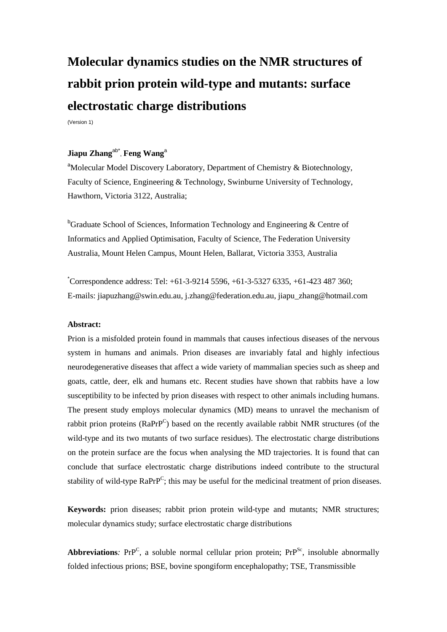# **Molecular dynamics studies on the NMR structures of rabbit prion protein wild-type and mutants: surface electrostatic charge distributions**

(Version 1)

### **Jiapu Zhang**ab\* , **Feng Wang**<sup>a</sup>

<sup>a</sup>Molecular Model Discovery Laboratory, Department of Chemistry & Biotechnology, Faculty of Science, Engineering & Technology, Swinburne University of Technology, Hawthorn, Victoria 3122, Australia;

<sup>b</sup>Graduate School of Sciences, Information Technology and Engineering & Centre of Informatics and Applied Optimisation, Faculty of Science, The Federation University Australia, Mount Helen Campus, Mount Helen, Ballarat, Victoria 3353, Australia

\* Correspondence address: Tel: +61-3-9214 5596, +61-3-5327 6335, +61-423 487 360; E-mails: jiapuzhang@swin.edu.au, j.zhang@federation.edu.au, jiapu\_zhang@hotmail.com

#### **Abstract:**

Prion is a misfolded protein found in mammals that causes infectious diseases of the nervous system in humans and animals. Prion diseases are invariably fatal and highly infectious neurodegenerative diseases that affect a wide variety of mammalian species such as sheep and goats, cattle, deer, elk and humans etc. Recent studies have shown that rabbits have a low susceptibility to be infected by prion diseases with respect to other animals including humans. The present study employs molecular dynamics (MD) means to unravel the mechanism of rabbit prion proteins (Ra $Pr^{C}$ ) based on the recently available rabbit NMR structures (of the wild-type and its two mutants of two surface residues). The electrostatic charge distributions on the protein surface are the focus when analysing the MD trajectories. It is found that can conclude that surface electrostatic charge distributions indeed contribute to the structural stability of wild-type RaPrP<sup>C</sup>; this may be useful for the medicinal treatment of prion diseases.

**Keywords:** prion diseases; rabbit prion protein wild-type and mutants; NMR structures; molecular dynamics study; surface electrostatic charge distributions

Abbreviations: PrP<sup>C</sup>, a soluble normal cellular prion protein; PrP<sup>Sc</sup>, insoluble abnormally folded infectious prions; BSE, bovine spongiform encephalopathy; TSE, Transmissible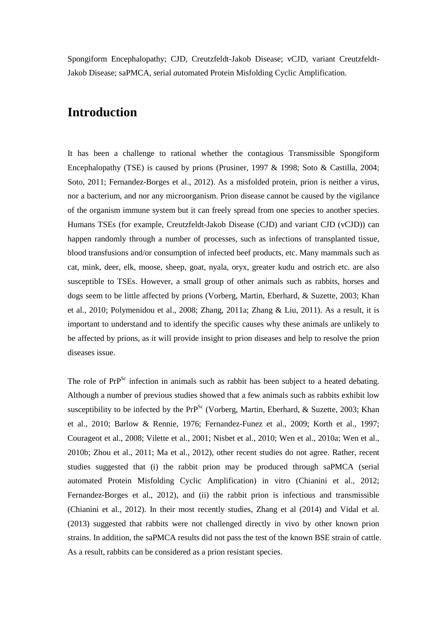Spongiform Encephalopathy; CJD, Creutzfeldt-Jakob Disease; vCJD, variant Creutzfeldt-Jakob Disease; saPMCA, *s*erial *a*utomated Protein Misfolding Cyclic Amplification.

## **Introduction**

It has been a challenge to rational whether the contagious Transmissible Spongiform Encephalopathy (TSE) is caused by prions (Prusiner, 1997 & 1998; Soto & Castilla, 2004; Soto, 2011; Fernandez-Borges et al., 2012). As a misfolded protein, prion is neither a virus, nor a bacterium, and nor any microorganism. Prion disease cannot be caused by the vigilance of the organism immune system but it can freely spread from one species to another species. Humans TSEs (for example, Creutzfeldt-Jakob Disease (CJD) and variant CJD (vCJD)) can happen randomly through a number of processes, such as infections of transplanted tissue, blood transfusions and/or consumption of infected beef products, etc. Many mammals such as cat, mink, deer, elk, moose, sheep, goat, nyala, oryx, greater kudu and ostrich etc. are also susceptible to TSEs. However, a small group of other animals such as rabbits, horses and dogs seem to be little affected by prions (Vorberg, Martin, Eberhard, & Suzette, 2003; Khan et al., 2010; Polymenidou et al., 2008; Zhang, 2011a; Zhang & Liu, 2011). As a result, it is important to understand and to identify the specific causes why these animals are unlikely to be affected by prions, as it will provide insight to prion diseases and help to resolve the prion diseases issue.

The role of PrP<sup>Sc</sup> infection in animals such as rabbit has been subject to a heated debating. Although a number of previous studies showed that a few animals such as rabbits exhibit low susceptibility to be infected by the  $Pr^{Sc}$  (Vorberg, Martin, Eberhard, & Suzette, 2003; Khan et al., 2010; Barlow & Rennie, 1976; Fernandez-Funez et al., 2009; Korth et al., 1997; Courageot et al., 2008; Vilette et al., 2001; Nisbet et al., 2010; Wen et al., 2010a; Wen et al., 2010b; Zhou et al., 2011; Ma et al., 2012), other recent studies do not agree. Rather, recent studies suggested that (i) the rabbit prion may be produced through saPMCA (serial automated Protein Misfolding Cyclic Amplification) in vitro (Chianini et al., 2012; Fernandez-Borges et al., 2012), and (ii) the rabbit prion is infectious and transmissible (Chianini et al., 2012). In their most recently studies, Zhang et al (2014) and Vidal et al. (2013) suggested that rabbits were not challenged directly in vivo by other known prion strains. In addition, the saPMCA results did not pass the test of the known BSE strain of cattle. As a result, rabbits can be considered as a prion resistant species.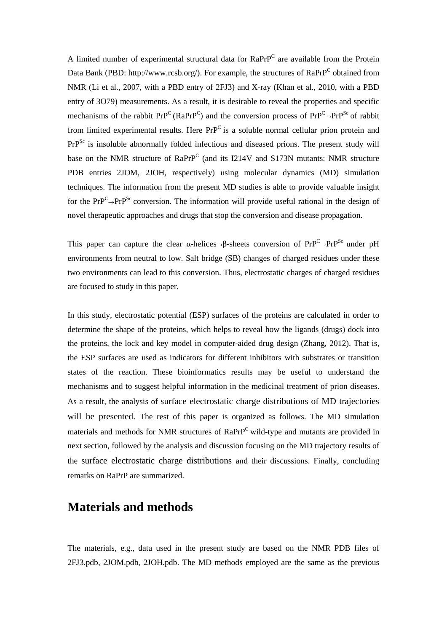A limited number of experimental structural data for  $RaPrP^C$  are available from the Protein Data Bank (PBD: http://www.rcsb.org/). For example, the structures of RaPrP<sup>C</sup> obtained from NMR (Li et al., 2007, with a PBD entry of 2FJ3) and X-ray (Khan et al., 2010, with a PBD entry of 3O79) measurements. As a result, it is desirable to reveal the properties and specific mechanisms of the rabbit  $Pr^{p}(\text{RaPrP}^C)$  and the conversion process of  $Pr^{p}(\text{PrP}^C)$  of rabbit from limited experimental results. Here  $PrP^C$  is a soluble normal cellular prion protein and PrP<sup>Sc</sup> is insoluble abnormally folded infectious and diseased prions. The present study will base on the NMR structure of RaPrP<sup>C</sup> (and its I214V and S173N mutants: NMR structure PDB entries 2JOM, 2JOH, respectively) using molecular dynamics (MD) simulation techniques. The information from the present MD studies is able to provide valuable insight for the  $PrP^C \rightarrow PrP^{Sc}$  conversion. The information will provide useful rational in the design of novel therapeutic approaches and drugs that stop the conversion and disease propagation.

This paper can capture the clear  $\alpha$ -helices→β-sheets conversion of  $Pr^{p^C} \rightarrow Pr^{p^{Sc}}$  under pH environments from neutral to low. Salt bridge (SB) changes of charged residues under these two environments can lead to this conversion. Thus, electrostatic charges of charged residues are focused to study in this paper.

In this study, electrostatic potential (ESP) surfaces of the proteins are calculated in order to determine the shape of the proteins, which helps to reveal how the ligands (drugs) dock into the proteins, the lock and key model in computer-aided drug design (Zhang, 2012). That is, the ESP surfaces are used as indicators for different inhibitors with substrates or transition states of the reaction. These bioinformatics results may be useful to understand the mechanisms and to suggest helpful information in the medicinal treatment of prion diseases. As a result, the analysis of surface electrostatic charge distributions of MD trajectories will be presented. The rest of this paper is organized as follows. The MD simulation materials and methods for NMR structures of RaPrP<sup>C</sup> wild-type and mutants are provided in next section, followed by the analysis and discussion focusing on the MD trajectory results of the surface electrostatic charge distributions and their discussions. Finally, concluding remarks on RaPrP are summarized.

### **Materials and methods**

The materials, e.g., data used in the present study are based on the NMR PDB files of 2FJ3.pdb, 2JOM.pdb, 2JOH.pdb. The MD methods employed are the same as the previous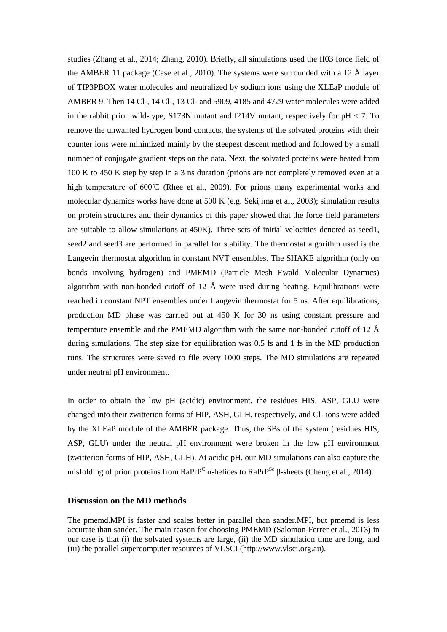studies (Zhang et al., 2014; Zhang, 2010). Briefly, all simulations used the ff03 force field of the AMBER 11 package (Case et al., 2010). The systems were surrounded with a 12  $\AA$  layer of TIP3PBOX water molecules and neutralized by sodium ions using the XLEaP module of AMBER 9. Then 14 Cl-, 14 Cl-, 13 Cl- and 5909, 4185 and 4729 water molecules were added in the rabbit prion wild-type, S173N mutant and I214V mutant, respectively for  $pH < 7$ . To remove the unwanted hydrogen bond contacts, the systems of the solvated proteins with their counter ions were minimized mainly by the steepest descent method and followed by a small number of conjugate gradient steps on the data. Next, the solvated proteins were heated from 100 K to 450 K step by step in a 3 ns duration (prions are not completely removed even at a high temperature of  $600\degree$  (Rhee et al., 2009). For prions many experimental works and molecular dynamics works have done at 500 K (e.g. Sekijima et al., 2003); simulation results on protein structures and their dynamics of this paper showed that the force field parameters are suitable to allow simulations at 450K). Three sets of initial velocities denoted as seed1, seed2 and seed3 are performed in parallel for stability. The thermostat algorithm used is the Langevin thermostat algorithm in constant NVT ensembles. The SHAKE algorithm (only on bonds involving hydrogen) and PMEMD (Particle Mesh Ewald Molecular Dynamics) algorithm with non-bonded cutoff of 12  $\AA$  were used during heating. Equilibrations were reached in constant NPT ensembles under Langevin thermostat for 5 ns. After equilibrations, production MD phase was carried out at 450 K for 30 ns using constant pressure and temperature ensemble and the PMEMD algorithm with the same non-bonded cutoff of 12  $\AA$ during simulations. The step size for equilibration was 0.5 fs and 1 fs in the MD production runs. The structures were saved to file every 1000 steps. The MD simulations are repeated under neutral pH environment.

In order to obtain the low pH (acidic) environment, the residues HIS, ASP, GLU were changed into their zwitterion forms of HIP, ASH, GLH, respectively, and Cl- ions were added by the XLEaP module of the AMBER package. Thus, the SBs of the system (residues HIS, ASP, GLU) under the neutral pH environment were broken in the low pH environment (zwitterion forms of HIP, ASH, GLH). At acidic pH, our MD simulations can also capture the misfolding of prion proteins from RaPrP<sup>C</sup> α-helices to RaPrP<sup>Sc</sup> β-sheets (Cheng et al., 2014).

### **Discussion on the MD methods**

The pmemd.MPI is faster and scales better in parallel than sander.MPI, but pmemd is less accurate than sander. The main reason for choosing PMEMD (Salomon-Ferrer et al., 2013) in our case is that (i) the solvated systems are large, (ii) the MD simulation time are long, and (iii) the parallel supercomputer resources of VLSCI (http://www.vlsci.org.au).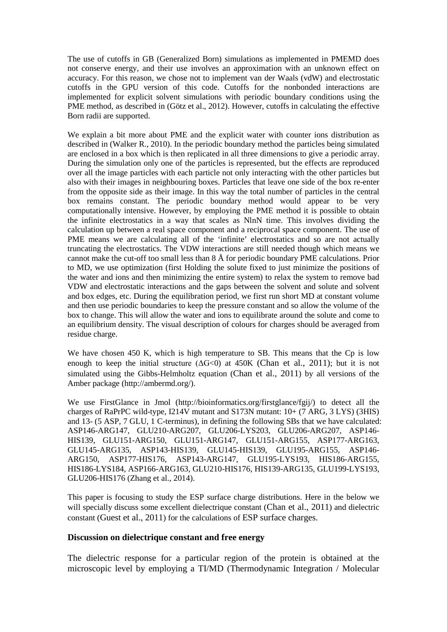The use of cutoffs in GB (Generalized Born) simulations as implemented in PMEMD does not conserve energy, and their use involves an approximation with an unknown effect on accuracy. For this reason, we chose not to implement van der Waals (vdW) and electrostatic cutoffs in the GPU version of this code. Cutoffs for the nonbonded interactions are implemented for explicit solvent simulations with periodic boundary conditions using the PME method, as described in (Götz et al., 2012). However, cutoffs in calculating the effective Born radii are supported.

We explain a bit more about PME and the explicit water with counter ions distribution as described in (Walker R., 2010). In the periodic boundary method the particles being simulated are enclosed in a box which is then replicated in all three dimensions to give a periodic array. During the simulation only one of the particles is represented, but the effects are reproduced over all the image particles with each particle not only interacting with the other particles but also with their images in neighbouring boxes. Particles that leave one side of the box re-enter from the opposite side as their image. In this way the total number of particles in the central box remains constant. The periodic boundary method would appear to be very computationally intensive. However, by employing the PME method it is possible to obtain the infinite electrostatics in a way that scales as NlnN time. This involves dividing the calculation up between a real space component and a reciprocal space component. The use of PME means we are calculating all of the 'infinite' electrostatics and so are not actually truncating the electrostatics. The VDW interactions are still needed though which means we cannot make the cut-off too small less than 8 Å for periodic boundary PME calculations. Prior to MD, we use optimization (first Holding the solute fixed to just minimize the positions of the water and ions and then minimizing the entire system) to relax the system to remove bad VDW and electrostatic interactions and the gaps between the solvent and solute and solvent and box edges, etc. During the equilibration period, we first run short MD at constant volume and then use periodic boundaries to keep the pressure constant and so allow the volume of the box to change. This will allow the water and ions to equilibrate around the solute and come to an equilibrium density. The visual description of colours for charges should be averaged from residue charge.

We have chosen 450 K, which is high temperature to SB. This means that the Cp is low enough to keep the initial structure  $( \Delta G < 0 )$  at 450K (Chan et al., 2011); but it is not simulated using the Gibbs-Helmholtz equation (Chan et al., 2011) by all versions of the Amber package (http://ambermd.org/).

We use FirstGlance in Jmol (http://bioinformatics.org/firstglance/fgij/) to detect all the charges of RaPrPC wild-type, I214V mutant and S173N mutant: 10+ (7 ARG, 3 LYS) (3HIS) and 13- (5 ASP, 7 GLU, 1 C-terminus), in defining the following SBs that we have calculated: ASP146-ARG147, GLU210-ARG207, GLU206-LYS203, GLU206-ARG207, ASP146- HIS139, GLU151-ARG150, GLU151-ARG147, GLU151-ARG155, ASP177-ARG163, GLU145-ARG135, ASP143-HIS139, GLU145-HIS139, GLU195-ARG155, ASP146- ARG150, ASP177-HIS176, ASP143-ARG147, GLU195-LYS193, HIS186-ARG155, HIS186-LYS184, ASP166-ARG163, GLU210-HIS176, HIS139-ARG135, GLU199-LYS193, GLU206-HIS176 (Zhang et al., 2014).

This paper is focusing to study the ESP surface charge distributions. Here in the below we will specially discuss some excellent dielectrique constant (Chan et al., 2011) and dielectric constant (Guest et al., 2011) for the calculations of ESP surface charges.

### **Discussion on dielectrique constant and free energy**

The dielectric response for a particular region of the protein is obtained at the microscopic level by employing a TI/MD (Thermodynamic Integration / Molecular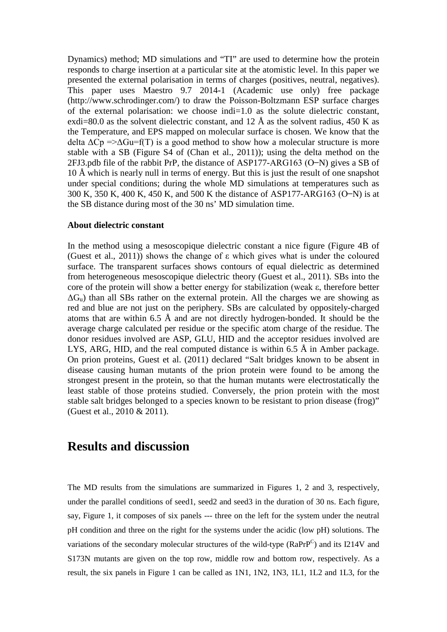Dynamics) method; MD simulations and "TI" are used to determine how the protein responds to charge insertion at a particular site at the atomistic level. In this paper we presented the external polarisation in terms of charges (positives, neutral, negatives). This paper uses Maestro 9.7 2014-1 (Academic use only) free package (http://www.schrodinger.com/) to draw the Poisson-Boltzmann ESP surface charges of the external polarisation: we choose indi=1.0 as the solute dielectric constant, exdi=80.0 as the solvent dielectric constant, and 12  $\AA$  as the solvent radius, 450 K as the Temperature, and EPS mapped on molecular surface is chosen. We know that the delta  $\Delta$ Cp => $\Delta$ Gu=f(T) is a good method to show how a molecular structure is more stable with a SB (Figure S4 of (Chan et al., 2011)); using the delta method on the 2FJ3.pdb file of the rabbit PrP, the distance of ASP177-ARG163 (O-N) gives a SB of 10 Å which is nearly null in terms of energy. But this is just the result of one snapshot under special conditions; during the whole MD simulations at temperatures such as 300 K, 350 K, 400 K, 450 K, and 500 K the distance of ASP177-ARG163 (O–N) is at the SB distance during most of the 30 ns' MD simulation time.

#### **About dielectric constant**

In the method using a mesoscopique dielectric constant a nice figure (Figure 4B of (Guest et al., 2011)) shows the change of ε which gives what is under the coloured surface. The transparent surfaces shows contours of equal dielectric as determined from heterogeneous mesoscopique dielectric theory (Guest et al., 2011). SBs into the core of the protein will show a better energy for stabilization (weak ε, therefore better  $\Delta G_u$ ) than all SBs rather on the external protein. All the charges we are showing as red and blue are not just on the periphery. SBs are calculated by oppositely-charged atoms that are within 6.5 Å and are not directly hydrogen-bonded. It should be the average charge calculated per residue or the specific atom charge of the residue. The donor residues involved are ASP, GLU, HID and the acceptor residues involved are LYS, ARG, [HID, and](mailto:HID@ND1.HD1,%20and) the real computed distance is within  $6.5 \text{ Å}$  in Amber package. On prion proteins, Guest et al. (2011) declared "Salt bridges known to be absent in disease causing human mutants of the prion protein were found to be among the strongest present in the protein, so that the human mutants were electrostatically the least stable of those proteins studied. Conversely, the prion protein with the most stable salt bridges belonged to a species known to be resistant to prion disease (frog)" (Guest et al., 2010 & 2011).

### **Results and discussion**

The MD results from the simulations are summarized in Figures 1, 2 and 3, respectively, under the parallel conditions of seed1, seed2 and seed3 in the duration of 30 ns. Each figure, say, Figure 1, it composes of six panels --- three on the left for the system under the neutral pH condition and three on the right for the systems under the acidic (low pH) solutions. The variations of the secondary molecular structures of the wild-type (RaPrP<sup>C</sup>) and its I214V and S173N mutants are given on the top row, middle row and bottom row, respectively. As a result, the six panels in Figure 1 can be called as 1N1, 1N2, 1N3, 1L1, 1L2 and 1L3, for the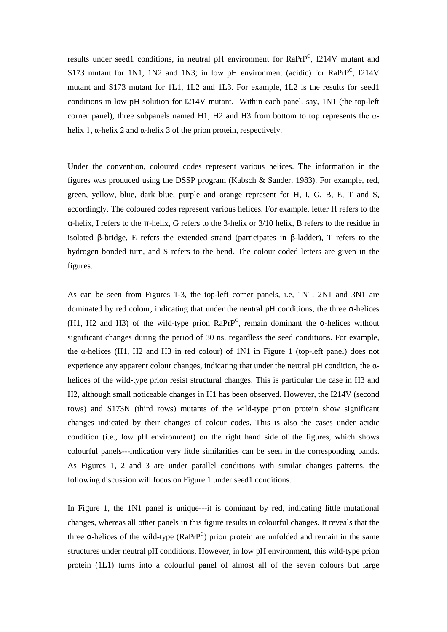results under seed1 conditions, in neutral pH environment for RaPrP<sup>C</sup>, I214V mutant and S173 mutant for 1N1, 1N2 and 1N3; in low pH environment (acidic) for RaPrP<sup>C</sup>, I214V mutant and S173 mutant for 1L1, 1L2 and 1L3. For example, 1L2 is the results for seed1 conditions in low pH solution for I214V mutant. Within each panel, say, 1N1 (the top-left corner panel), three subpanels named H1, H2 and H3 from bottom to top represents the  $\alpha$ helix 1,  $\alpha$ -helix 2 and  $\alpha$ -helix 3 of the prion protein, respectively.

Under the convention, coloured codes represent various helices. The information in the figures was produced using the DSSP program (Kabsch & Sander, 1983). For example, red, green, yellow, blue, dark blue, purple and orange represent for H, I, G, B, E, T and S, accordingly. The coloured codes represent various helices. For example, letter H refers to the α-helix, I refers to the π-helix, G refers to the 3-helix or 3/10 helix, B refers to the residue in isolated β-bridge, E refers the extended strand (participates in β-ladder), T refers to the hydrogen bonded turn, and S refers to the bend. The colour coded letters are given in the figures.

As can be seen from Figures 1-3, the top-left corner panels, i.e, 1N1, 2N1 and 3N1 are dominated by red colour, indicating that under the neutral pH conditions, the three α-helices (H1, H2 and H3) of the wild-type prion  $RaPrP^C$ , remain dominant the  $\alpha$ -helices without significant changes during the period of 30 ns, regardless the seed conditions. For example, the  $\alpha$ -helices (H1, H2 and H3 in red colour) of 1N1 in Figure 1 (top-left panel) does not experience any apparent colour changes, indicating that under the neutral pH condition, the  $\alpha$ helices of the wild-type prion resist structural changes. This is particular the case in H3 and H2, although small noticeable changes in H1 has been observed. However, the I214V (second rows) and S173N (third rows) mutants of the wild-type prion protein show significant changes indicated by their changes of colour codes. This is also the cases under acidic condition (i.e., low pH environment) on the right hand side of the figures, which shows colourful panels---indication very little similarities can be seen in the corresponding bands. As Figures 1, 2 and 3 are under parallel conditions with similar changes patterns, the following discussion will focus on Figure 1 under seed1 conditions.

In Figure 1, the 1N1 panel is unique---it is dominant by red, indicating little mutational changes, whereas all other panels in this figure results in colourful changes. It reveals that the three  $\alpha$ -helices of the wild-type (RaPrP<sup>C</sup>) prion protein are unfolded and remain in the same structures under neutral pH conditions. However, in low pH environment, this wild-type prion protein (1L1) turns into a colourful panel of almost all of the seven colours but large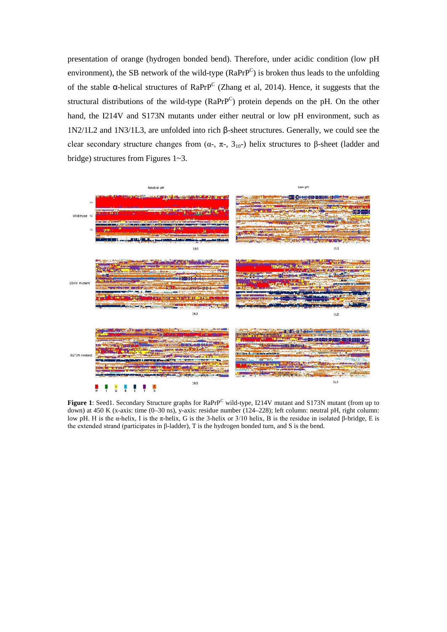presentation of orange (hydrogen bonded bend). Therefore, under acidic condition (low pH environment), the SB network of the wild-type  $(RaPrP^C)$  is broken thus leads to the unfolding of the stable  $\alpha$ -helical structures of RaPrP<sup>C</sup> (Zhang et al, 2014). Hence, it suggests that the structural distributions of the wild-type  $(RaPrP^C)$  protein depends on the pH. On the other hand, the I214V and S173N mutants under either neutral or low pH environment, such as 1N2/1L2 and 1N3/1L3, are unfolded into rich β-sheet structures. Generally, we could see the clear secondary structure changes from  $(\alpha_{-}, \pi_{-}, 3_{10})$  helix structures to β-sheet (ladder and bridge) structures from Figures 1~3.



Figure 1: Seed1. Secondary Structure graphs for RaPrP<sup>C</sup> wild-type, I214V mutant and S173N mutant (from up to down) at 450 K (x-axis: time (0-30 ns), y-axis: residue number (124-228); left column: neutral pH, right column: low pH. H is the α-helix, I is the π-helix, G is the 3-helix or 3/10 helix, B is the residue in isolated β-bridge, E is the extended strand (participates in β-ladder), T is the hydrogen bonded turn, and S is the bend.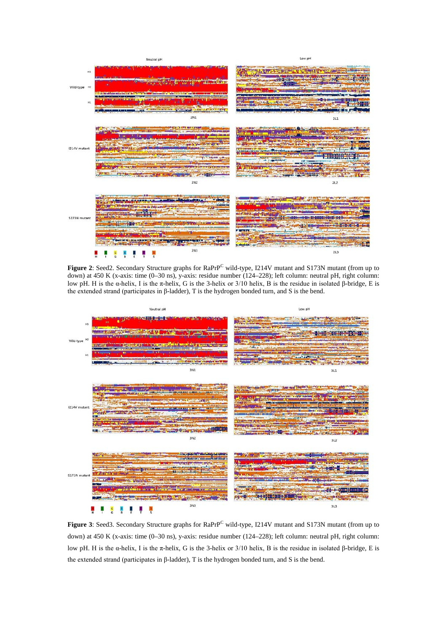

Figure 2: Seed2. Secondary Structure graphs for RaPrPC wild-type, I214V mutant and S173N mutant (from up to down) at 450 K (x-axis: time (0–30 ns), y-axis: residue number (124–228); left column: neutral pH, right column: low pH. H is the α-helix, I is the π-helix, G is the 3-helix or 3/10 helix, B is the residue in isolated β-bridge, E is the extended strand (participates in β-ladder), T is the hydrogen bonded turn, and S is the bend.



Figure 3: Seed3. Secondary Structure graphs for RaPrP<sup>C</sup> wild-type, I214V mutant and S173N mutant (from up to down) at 450 K (x-axis: time (0–30 ns), y-axis: residue number (124–228); left column: neutral pH, right column: low pH. H is the α-helix, I is the π-helix, G is the 3-helix or 3/10 helix, B is the residue in isolated β-bridge, E is the extended strand (participates in β-ladder), T is the hydrogen bonded turn, and S is the bend.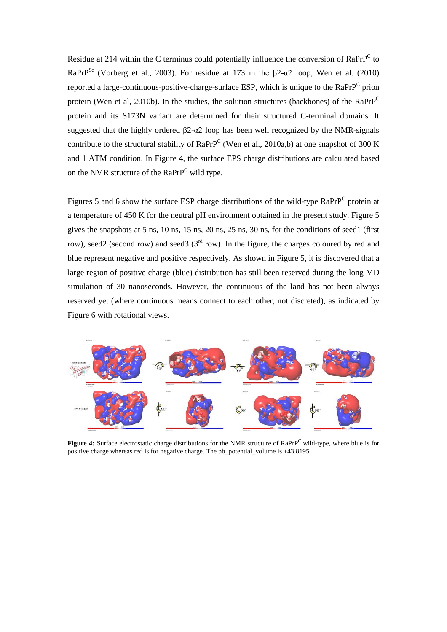Residue at 214 within the C terminus could potentially influence the conversion of RaPrP<sup>C</sup> to RaPrP<sup>Sc</sup> (Vorberg et al., 2003). For residue at 173 in the  $\beta$ 2-α2 loop, Wen et al. (2010) reported a large-continuous-positive-charge-surface ESP, which is unique to the RaPrPC prion protein (Wen et al, 2010b). In the studies, the solution structures (backbones) of the  $RaPrP^C$ protein and its S173N variant are determined for their structured C-terminal domains. It suggested that the highly ordered β2-α2 loop has been well recognized by the NMR-signals contribute to the structural stability of RaPrP<sup>C</sup> (Wen et al., 2010a,b) at one snapshot of 300 K and 1 ATM condition. In Figure 4, the surface EPS charge distributions are calculated based on the NMR structure of the RaPrP<sup>C</sup> wild type.

Figures 5 and 6 show the surface ESP charge distributions of the wild-type RaPrP<sup>C</sup> protein at a temperature of 450 K for the neutral pH environment obtained in the present study. Figure 5 gives the snapshots at 5 ns, 10 ns, 15 ns, 20 ns, 25 ns, 30 ns, for the conditions of seed1 (first row), seed2 (second row) and seed3 ( $3<sup>rd</sup>$  row). In the figure, the charges coloured by red and blue represent negative and positive respectively. As shown in Figure 5, it is discovered that a large region of positive charge (blue) distribution has still been reserved during the long MD simulation of 30 nanoseconds. However, the continuous of the land has not been always reserved yet (where continuous means connect to each other, not discreted), as indicated by Figure 6 with rotational views.



Figure 4: Surface electrostatic charge distributions for the NMR structure of RaPrP<sup>C</sup> wild-type, where blue is for positive charge whereas red is for negative charge. The pb\_potential\_volume is ±43.8195.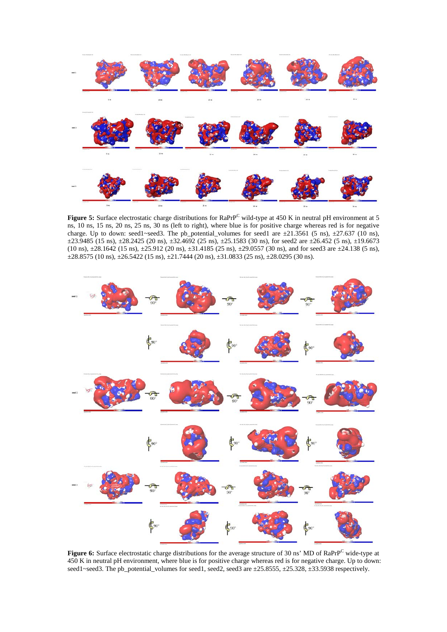

**Figure 5:** Surface electrostatic charge distributions for RaPrP<sup>C</sup> wild-type at 450 K in neutral pH environment at 5 ns, 10 ns, 15 ns, 20 ns, 25 ns, 30 ns (left to right), where blue is for positive charge whereas red is for negative charge. Up to down: seed1~seed3. The pb\_potential\_volumes for seed1 are  $\pm 21.3561$  (5 ns),  $\pm 27.637$  (10 ns), ±23.9485 (15 ns), ±28.2425 (20 ns), ±32.4692 (25 ns), ±25.1583 (30 ns), for seed2 are ±26.452 (5 ns), ±19.6673 (10 ns), ±28.1642 (15 ns), ±25.912 (20 ns), ±31.4185 (25 ns), ±29.0557 (30 ns), and for seed3 are ±24.138 (5 ns),  $\pm 28.8575$  (10 ns),  $\pm 26.5422$  (15 ns),  $\pm 21.7444$  (20 ns),  $\pm 31.0833$  (25 ns),  $\pm 28.0295$  (30 ns).



Figure 6: Surface electrostatic charge distributions for the average structure of 30 ns' MD of RaPrP<sup>C</sup> wide-type at 450 K in neutral pH environment, where blue is for positive charge whereas red is for negative charge. Up to down: seed1~seed3. The pb\_potential\_volumes for seed1, seed2, seed3 are ±25.8555, ±25.328, ±33.5938 respectively.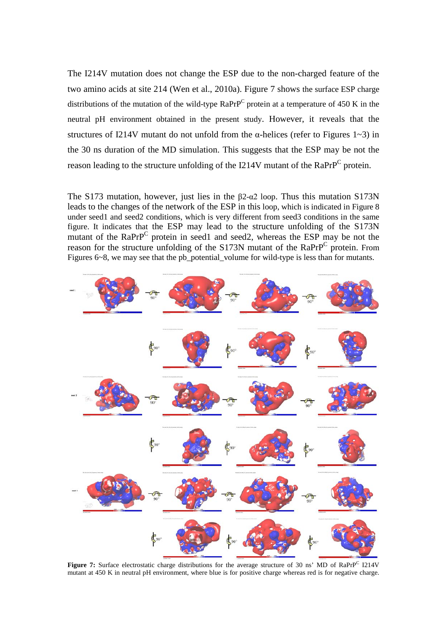The I214V mutation does not change the ESP due to the non-charged feature of the two amino acids at site 214 (Wen et al., 2010a). Figure 7 shows the surface ESP charge distributions of the mutation of the wild-type  $RaPrP^C$  protein at a temperature of 450 K in the neutral pH environment obtained in the present study. However, it reveals that the structures of I214V mutant do not unfold from the  $\alpha$ -helices (refer to Figures 1~3) in the 30 ns duration of the MD simulation. This suggests that the ESP may be not the reason leading to the structure unfolding of the I214V mutant of the RaPrP<sup>C</sup> protein.

The S173 mutation, however, just lies in the β2-α2 loop. Thus this mutation S173N leads to the changes of the network of the ESP in this loop, which is indicated in Figure 8 under seed1 and seed2 conditions, which is very different from seed3 conditions in the same figure. It indicates that the ESP may lead to the structure unfolding of the S173N mutant of the  $RaPrP^C$  protein in seed1 and seed2, whereas the ESP may be not the reason for the structure unfolding of the S173N mutant of the RaPrP<sup>C</sup> protein. From Figures 6~8, we may see that the pb\_potential\_volume for wild-type is less than for mutants.



Figure 7: Surface electrostatic charge distributions for the average structure of 30 ns' MD of RaPrP<sup>C</sup> I214V mutant at 450 K in neutral pH environment, where blue is for positive charge whereas red is for negative charge.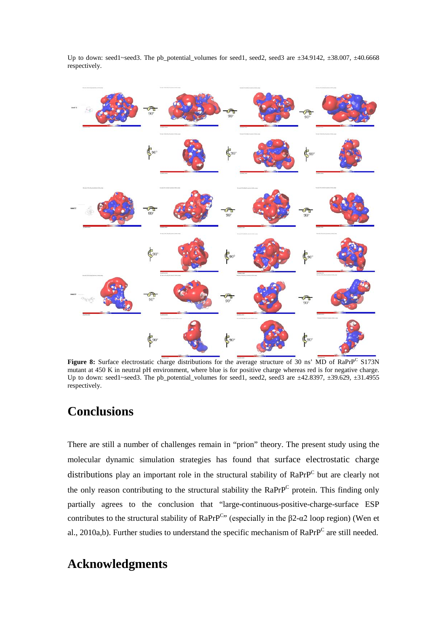

Up to down: seed1~seed3. The pb\_potential\_volumes for seed1, seed2, seed3 are  $\pm 34.9142$ ,  $\pm 38.007$ ,  $\pm 40.6668$ respectively.

Figure 8: Surface electrostatic charge distributions for the average structure of 30 ns' MD of RaPrP<sup>C</sup> S173N mutant at 450 K in neutral pH environment, where blue is for positive charge whereas red is for negative charge. Up to down: seed1~seed3. The pb\_potential\_volumes for seed1, seed2, seed3 are  $\pm$ 42.8397,  $\pm$ 39.629,  $\pm$ 31.4955 respectively.

# **Conclusions**

There are still a number of challenges remain in "prion" theory. The present study using the molecular dynamic simulation strategies has found that surface electrostatic charge distributions play an important role in the structural stability of RaPrP<sup>C</sup> but are clearly not the only reason contributing to the structural stability the  $RaPrP^C$  protein. This finding only partially agrees to the conclusion that "large-continuous-positive-charge-surface ESP contributes to the structural stability of RaPrP<sup>C</sup>" (especially in the  $\beta$ 2- $\alpha$ 2 loop region) (Wen et al., 2010a,b). Further studies to understand the specific mechanism of  $RaPrP^C$  are still needed.

# **Acknowledgments**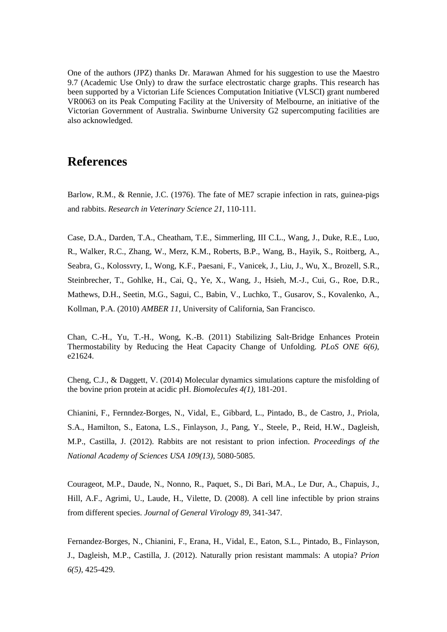One of the authors (JPZ) thanks Dr. Marawan Ahmed for his suggestion to use the Maestro 9.7 (Academic Use Only) to draw the surface electrostatic charge graphs. This research has been supported by a Victorian Life Sciences Computation Initiative (VLSCI) grant numbered VR0063 on its Peak Computing Facility at the University of Melbourne, an initiative of the Victorian Government of Australia. Swinburne University G2 supercomputing facilities are also acknowledged.

### **References**

Barlow, R.M., & Rennie, J.C. (1976). The fate of ME7 scrapie infection in rats, guinea-pigs and rabbits. *Research in Veterinary Science 21*, 110-111.

Case, D.A., Darden, T.A., Cheatham, T.E., Simmerling, III C.L., Wang, J., Duke, R.E., Luo, R., Walker, R.C., Zhang, W., Merz, K.M., Roberts, B.P., Wang, B., Hayik, S., Roitberg, A., Seabra, G., Kolossvry, I., Wong, K.F., Paesani, F., Vanicek, J., Liu, J., Wu, X., Brozell, S.R., Steinbrecher, T., Gohlke, H., Cai, Q., Ye, X., Wang, J., Hsieh, M.-J., Cui, G., Roe, D.R., Mathews, D.H., Seetin, M.G., Sagui, C., Babin, V., Luchko, T., Gusarov, S., Kovalenko, A., Kollman, P.A. (2010) *AMBER 11*, University of California, San Francisco.

Chan, C.-H., Yu, T.-H., Wong, K.-B. (2011) Stabilizing Salt-Bridge Enhances Protein Thermostability by Reducing the Heat Capacity Change of Unfolding. *PLoS ONE 6(6)*, e21624.

Cheng, C.J., & Daggett, V. (2014) Molecular dynamics simulations capture the misfolding of the bovine prion protein at acidic pH. *Biomolecules 4(1)*, 181-201.

Chianini, F., Fernndez-Borges, N., Vidal, E., Gibbard, L., Pintado, B., de Castro, J., Priola, S.A., Hamilton, S., Eatona, L.S., Finlayson, J., Pang, Y., Steele, P., Reid, H.W., Dagleish, M.P., Castilla, J. (2012). Rabbits are not resistant to prion infection. *Proceedings of the National Academy of Sciences USA 109(13)*, 5080-5085.

Courageot, M.P., Daude, N., Nonno, R., Paquet, S., Di Bari, M.A., Le Dur, A., Chapuis, J., Hill, A.F., Agrimi, U., Laude, H., Vilette, D. (2008). A cell line infectible by prion strains from different species. *Journal of General Virology 89*, 341-347.

Fernandez-Borges, N., Chianini, F., Erana, H., Vidal, E., Eaton, S.L., Pintado, B., Finlayson, J., Dagleish, M.P., Castilla, J. (2012). Naturally prion resistant mammals: A utopia? *Prion 6(5)*, 425-429.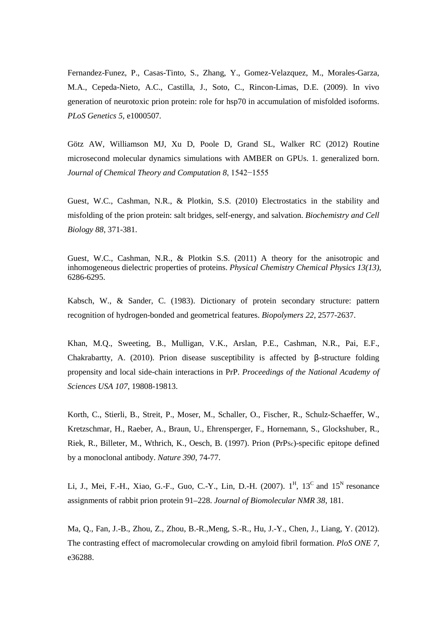Fernandez-Funez, P., Casas-Tinto, S., Zhang, Y., Gomez-Velazquez, M., Morales-Garza, M.A., Cepeda-Nieto, A.C., Castilla, J., Soto, C., Rincon-Limas, D.E. (2009). In vivo generation of neurotoxic prion protein: role for hsp70 in accumulation of misfolded isoforms. *PLoS Genetics 5*, e1000507.

Götz AW, Williamson MJ, Xu D, Poole D, Grand SL, Walker RC (2012) Routine microsecond molecular dynamics simulations with AMBER on GPUs. 1. generalized born. *Journal of Chemical Theory and Computation 8*, 1542−1555

Guest, W.C., Cashman, N.R., & Plotkin, S.S. (2010) Electrostatics in the stability and misfolding of the prion protein: salt bridges, self-energy, and salvation. *Biochemistry and Cell Biology 88*, 371-381.

Guest, W.C., Cashman, N.R., & Plotkin S.S. (2011) A theory for the anisotropic and inhomogeneous dielectric properties of proteins. *Physical Chemistry Chemical Physics 13(13)*, 6286-6295.

Kabsch, W., & Sander, C. (1983). Dictionary of protein secondary structure: pattern recognition of hydrogen-bonded and geometrical features. *Biopolymers 22*, 2577-2637.

Khan, M.Q., Sweeting, B., Mulligan, V.K., Arslan, P.E., Cashman, N.R., Pai, E.F., Chakrabartty, A. (2010). Prion disease susceptibility is affected by  $\beta$ -structure folding propensity and local side-chain interactions in PrP. *Proceedings of the National Academy of Sciences USA 107*, 19808-19813.

Korth, C., Stierli, B., Streit, P., Moser, M., Schaller, O., Fischer, R., Schulz-Schaeffer, W., Kretzschmar, H., Raeber, A., Braun, U., Ehrensperger, F., Hornemann, S., Glockshuber, R., Riek, R., Billeter, M., Wthrich, K., Oesch, B. (1997). Prion (PrPSc)-specific epitope defined by a monoclonal antibody. *Nature 390*, 74-77.

Li, J., Mei, F.-H., Xiao, G.-F., Guo, C.-Y., Lin, D.-H. (2007).  $1^H$ ,  $13^C$  and  $15^N$  resonance assignments of rabbit prion protein 91–228. *Journal of Biomolecular NMR 38*, 181.

Ma, Q., Fan, J.-B., Zhou, Z., Zhou, B.-R.,Meng, S.-R., Hu, J.-Y., Chen, J., Liang, Y. (2012). The contrasting effect of macromolecular crowding on amyloid fibril formation. *PloS ONE 7*, e36288.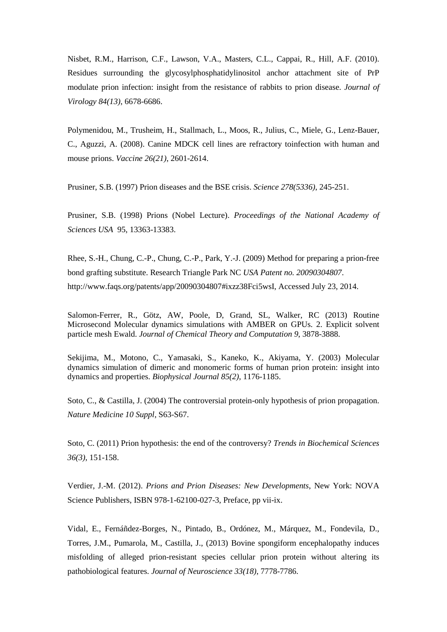Nisbet, R.M., Harrison, C.F., Lawson, V.A., Masters, C.L., Cappai, R., Hill, A.F. (2010). Residues surrounding the glycosylphosphatidylinositol anchor attachment site of PrP modulate prion infection: insight from the resistance of rabbits to prion disease. *Journal of Virology 84(13)*, 6678-6686.

Polymenidou, M., Trusheim, H., Stallmach, L., Moos, R., Julius, C., Miele, G., Lenz-Bauer, C., Aguzzi, A. (2008). Canine MDCK cell lines are refractory toinfection with human and mouse prions. *Vaccine 26(21)*, 2601-2614.

Prusiner, S.B. (1997) Prion diseases and the BSE crisis. *Science 278(5336)*, 245-251.

Prusiner, S.B. (1998) Prions (Nobel Lecture). *Proceedings of the National Academy of Sciences USA* 95, 13363-13383.

Rhee, S.-H., Chung, C.-P., Chung, C.-P., Park, Y.-J. (2009) Method for preparing a prion-free bond grafting substitute. Research Triangle Park NC *USA Patent no. 20090304807*. http://www.faqs.org/patents/app/20090304807#ixzz38Fci5wsI, Accessed July 23, 2014.

Salomon-Ferrer, R., Götz, AW, Poole, D, Grand, SL, Walker, RC (2013) Routine Microsecond Molecular dynamics simulations with AMBER on GPUs. 2. Explicit solvent particle mesh Ewald. *Journal of Chemical Theory and Computation 9*, 3878-3888.

Sekijima, M., Motono, C., Yamasaki, S., Kaneko, K., Akiyama, Y. (2003) Molecular dynamics simulation of dimeric and monomeric forms of human prion protein: insight into dynamics and properties. *Biophysical Journal 85(2)*, 1176-1185.

Soto, C., & Castilla, J. (2004) The controversial protein-only hypothesis of prion propagation. *Nature Medicine 10 Suppl*, S63-S67.

Soto, C. (2011) Prion hypothesis: the end of the controversy? *Trends in Biochemical Sciences 36(3)*, 151-158.

Verdier, J.-M. (2012). *Prions and Prion Diseases: New Developments*, New York: NOVA Science Publishers, ISBN 978-1-62100-027-3, Preface, pp vii-ix.

Vidal, E., Fernáñdez-Borges, N., Pintado, B., Ordónez, M., Márquez, M., Fondevila, D., Torres, J.M., Pumarola, M., Castilla, J., (2013) Bovine spongiform encephalopathy induces misfolding of alleged prion-resistant species cellular prion protein without altering its pathobiological features. *Journal of Neuroscience 33(18)*, 7778-7786.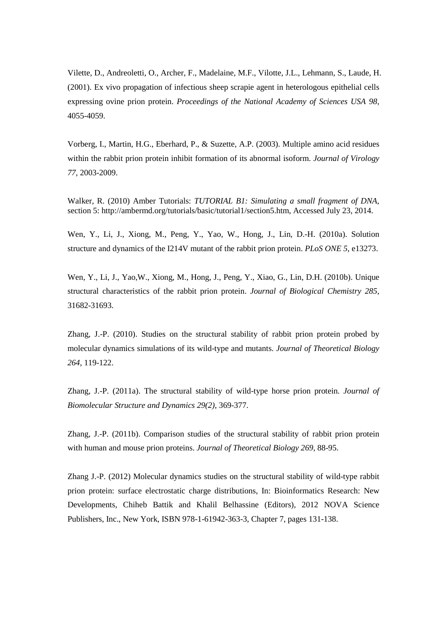Vilette, D., Andreoletti, O., Archer, F., Madelaine, M.F., Vilotte, J.L., Lehmann, S., Laude, H. (2001). Ex vivo propagation of infectious sheep scrapie agent in heterologous epithelial cells expressing ovine prion protein. *Proceedings of the National Academy of Sciences USA 98*, 4055-4059.

Vorberg, I., Martin, H.G., Eberhard, P., & Suzette, A.P. (2003). Multiple amino acid residues within the rabbit prion protein inhibit formation of its abnormal isoform. *Journal of Virology 77*, 2003-2009.

Walker, R. (2010) Amber Tutorials: *[TUTORIAL B1: Simulating a small fragment of DNA](http://ambermd.org/tutorials/basic/tutorial1/index.htm)*, section 5: [http://ambermd.org/tutorials/basic/tutorial1/section5.htm,](http://ambermd.org/tutorials/basic/tutorial1/section5.htm) Accessed July 23, 2014.

Wen, Y., Li, J., Xiong, M., Peng, Y., Yao, W., Hong, J., Lin, D.-H. (2010a). Solution structure and dynamics of the I214V mutant of the rabbit prion protein. *PLoS ONE 5*, e13273.

Wen, Y., Li, J., Yao,W., Xiong, M., Hong, J., Peng, Y., Xiao, G., Lin, D.H. (2010b). Unique structural characteristics of the rabbit prion protein. *Journal of Biological Chemistry 285*, 31682-31693.

Zhang, J.-P. (2010). Studies on the structural stability of rabbit prion protein probed by molecular dynamics simulations of its wild-type and mutants. *Journal of Theoretical Biology 264*, 119-122.

Zhang, J.-P. (2011a). The structural stability of wild-type horse prion protein. *Journal of Biomolecular Structure and Dynamics 29(2)*, 369-377.

Zhang, J.-P. (2011b). Comparison studies of the structural stability of rabbit prion protein with human and mouse prion proteins. *Journal of Theoretical Biology 269*, 88-95.

Zhang J.-P. (2012) Molecular dynamics studies on the structural stability of wild-type rabbit prion protein: surface electrostatic charge distributions, In: Bioinformatics Research: New Developments, Chiheb Battik and Khalil Belhassine (Editors), 2012 NOVA Science Publishers, Inc., New York, ISBN 978-1-61942-363-3, Chapter 7, pages 131-138.